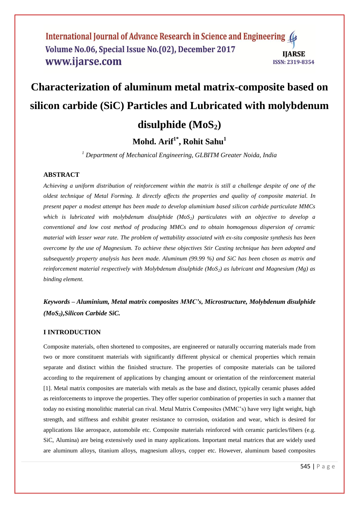# **Characterization of aluminum metal matrix-composite based on silicon carbide (SiC) Particles and Lubricated with molybdenum disulphide (MoS2)**

# **Mohd. Arif1\* , Rohit Sahu<sup>1</sup>**

*<sup>1</sup> Department of Mechanical Engineering, GLBITM Greater Noida, India*

# **ABSTRACT**

*Achieving a uniform distribution of reinforcement within the matrix is still a challenge despite of one of the oldest technique of Metal Forming. It directly affects the properties and quality of composite material. In present paper a modest attempt has been made to develop aluminium based silicon carbide particulate MMCs which is lubricated with molybdenum disulphide (MoS2) particulates with an objective to develop a conventional and low cost method of producing MMCs and to obtain homogenous dispersion of ceramic material with lesser wear rate. The problem of wettability associated with ex-situ composite synthesis has been overcome by the use of Magnesium. To achieve these objectives Stir Casting technique has been adopted and subsequently property analysis has been made. Aluminum (99.99 %) and SiC has been chosen as matrix and reinforcement material respectively with Molybdenum disulphide (MoS2) as lubricant and Magnesium (Mg) as binding element.*

# *Keywords* **–** *Aluminium, Metal matrix composites MMC's, Microstructure, Molybdenum disulphide (MoS2),Silicon Carbide SiC.*

#### **I INTRODUCTION**

Composite materials, often shortened to composites, are engineered or naturally occurring materials made from two or more constituent materials with significantly different physical or chemical properties which remain separate and distinct within the finished structure. The properties of composite materials can be tailored according to the requirement of applications by changing amount or orientation of the reinforcement material [1]. Metal matrix composites are materials with metals as the base and distinct, typically ceramic phases added as reinforcements to improve the properties. They offer superior combination of properties in such a manner that today no existing monolithic material can rival. Metal Matrix Composites (MMC's) have very light weight, high strength, and stiffness and exhibit greater resistance to corrosion, oxidation and wear, which is desired for applications like aerospace, automobile etc. Composite materials reinforced with ceramic particles/fibers (e.g. SiC, Alumina) are being extensively used in many applications. Important metal matrices that are widely used are aluminum alloys, titanium alloys, magnesium alloys, copper etc. However, aluminum based composites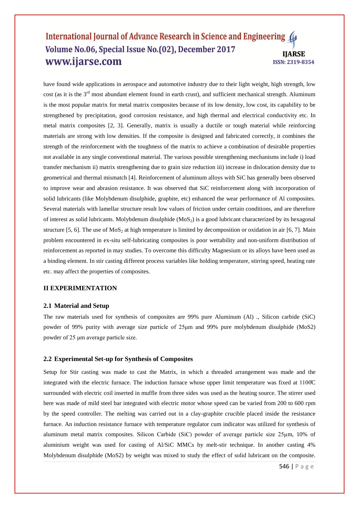have found wide applications in aerospace and automotive industry due to their light weight, high strength, low cost (as it is the 3<sup>rd</sup> most abundant element found in earth crust), and sufficient mechanical strength. Aluminum is the most popular matrix for metal matrix composites because of its low density, low cost, its capability to be strengthened by precipitation, good corrosion resistance, and high thermal and electrical conductivity etc. In metal matrix composites [2, 3]. Generally, matrix is usually a ductile or tough material while reinforcing materials are strong with low densities. If the composite is designed and fabricated correctly, it combines the strength of the reinforcement with the toughness of the matrix to achieve a combination of desirable properties not available in any single conventional material. The various possible strengthening mechanisms include i) load transfer mechanism ii) matrix strengthening due to grain size reduction iii) increase in dislocation density due to geometrical and thermal mismatch [4]. Reinforcement of aluminum alloys with SiC has generally been observed to improve wear and abrasion resistance. It was observed that SiC reinforcement along with incorporation of solid lubricants (like Molybdenum disulphide, graphite, etc) enhanced the wear performance of Al composites. Several materials with lamellar structure result low values of friction under certain conditions, and are therefore of interest as solid lubricants. Molybdenum disulphide  $(MoS<sub>2</sub>)$  is a good lubricant characterized by its hexagonal structure [5, 6]. The use of MoS<sub>2</sub> at high temperature is limited by decomposition or oxidation in air [6, 7]. Main problem encountered in ex-situ self-lubricating composites is poor wettability and non-uniform distribution of reinforcement as reported in may studies. To overcome this difficulty Magnesium or its alloys have been used as a binding element. In stir casting different process variables like holding temperature, stirring speed, heating rate etc. may affect the properties of composites.

# **II EXPERIMENTATION**

#### **2.1 Material and Setup**

The raw materials used for synthesis of composites are 99% pure Aluminum (Al) ., Silicon carbide (SiC) powder of 99% purity with average size particle of 25μm and 99% pure molybdenum disulphide (MoS2) powder of 25 μm average particle size.

#### **2.2 Experimental Set-up for Synthesis of Composites**

Setup for Stir casting was made to cast the Matrix, in which a threaded arrangement was made and the integrated with the electric furnace. The induction furnace whose upper limit temperature was fixed at 1100̊C surrounded with electric coil inserted in muffle from three sides was used as the heating source. The stirrer used here was made of mild steel bar integrated with electric motor whose speed can be varied from 200 to 600 rpm by the speed controller. The melting was carried out in a clay-graphite crucible placed inside the resistance furnace. An induction resistance furnace with temperature regulator cum indicator was utilized for synthesis of aluminum metal matrix composites. Silicon Carbide (SiC) powder of average particle size 25μm, 10% of aluminium weight was used for casting of Al/SiC MMCs by melt-stir technique. In another casting 4% Molybdenum disulphide (MoS2) by weight was mixed to study the effect of solid lubricant on the composite.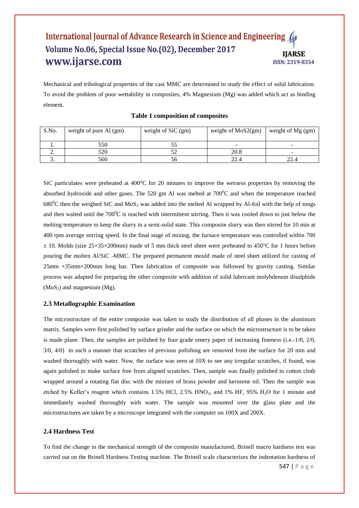Mechanical and tribological properties of the cast MMC are determined to study the effect of solid lubrication. To avoid the problem of poor wettability in composites, 4% Magnesium (Mg) was added which act as binding element.

| S.No.    | weight of pure Al (gm) | weight of $SiC(gm)$ | weight of $MoS2(gm)$ | weight of $Mg$ (gm)      |
|----------|------------------------|---------------------|----------------------|--------------------------|
|          | 550                    |                     |                      |                          |
| <u>.</u> | 520                    |                     | 20.8                 | $\overline{\phantom{a}}$ |
| J.       | 560                    | 56.                 | 22.4                 |                          |

# **Table 1 composition of composites**

SiC particulates were preheated at 400°C for 20 minutes to improve the wetness properties by removing the absorbed hydroxide and other gases. The 520 gm Al was melted at  $700^{\circ}$ C and when the temperature reached  $680^{\circ}$ C then the weighed SiC and MoS<sub>2</sub> was added into the melted Al wrapped by Al-foil with the help of tongs and then waited until the  $700^{\circ}$ C is reached with intermittent stirring. Then it was cooled down to just below the melting temperature to keep the slurry in a semi-solid state. This composite slurry was then stirred for 10 min at 400 rpm average stirring speed. In the final stage of mixing, the furnace temperature was controlled within 700  $\pm$  10. Molds (size 25×35×200mm) made of 5 mm thick steel sheet were preheated to 450°C for 1 hours before pouring the molten Al/SiC -MMC. The prepared permanent mould made of steel sheet utilized for casting of 25mm ×35mm×200mm long bar. Then fabrication of composite was followed by gravity casting. Similar process was adapted for preparing the other composite with addition of solid lubricant molybdenum disulphide  $(MoS<sub>2</sub>)$  and magnesium  $(Mg)$ .

# **2.3 Metallographic Examination**

The microstructure of the entire composite was taken to study the distribution of all phases in the aluminum matrix. Samples were first polished by surface grinder and the surface on which the microstructure is to be taken is made plane. Then, the samples are polished by four grade emery paper of increasing fineness (i.e.-1/0, 2/0, 3/0, 4/0) in such a manner that scratches of previous polishing are removed from the surface for 20 min and washed thoroughly with water. Now, the surface was seen at 10X to see any irregular scratches, if found, was again polished to make surface free from aligned scratches. Then, sample was finally polished to cotton cloth wrapped around a rotating flat disc with the mixture of brass powder and kerosene oil. Then the sample was etched by Keller's reagent which contains 1.5% HCl, 2.5% HNO<sub>3</sub>, and 1% HF, 95% H<sub>2</sub>O for 1 minute and immediately washed thoroughly with water. The sample was mounted over the glass plate and the microstructures are taken by a microscope integrated with the computer on 100X and 200X.

#### **2.4 Hardness Test**

To find the change in the mechanical strength of the composite manufactured, Brinell macro hardness test was carried out on the Brinell Hardness Testing machine. The Brinell scale characterizes the indentation hardness of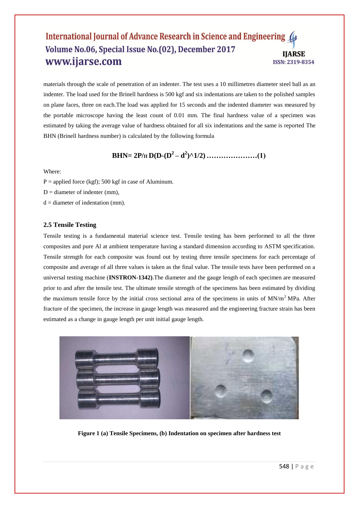materials through the scale of penetration of an indenter. The test uses a 10 millimetres diameter steel ball as an indenter. The load used for the Brinell hardness is 500 kgf and six indentations are taken to the polished samples on plane faces, three on each.The load was applied for 15 seconds and the indented diameter was measured by the portable microscope having the least count of 0.01 mm. The final hardness value of a specimen was estimated by taking the average value of hardness obtained for all six indentations and the same is reported The BHN (Brinell hardness number) is calculated by the following formula

# **BHN= 2P/<sup>Π</sup> D(D-(D<sup>2</sup> – d 2 )^1/2) …………………(1)**

#### Where:

- $P =$  applied force (kgf); 500 kgf in case of Aluminum.
- $D =$  diameter of indenter (mm).
- $d =$  diameter of indentation (mm).

#### **2.5 Tensile Testing**

Tensile testing is a fundamental material science test. Tensile testing has been performed to all the three composites and pure Al at ambient temperature having a standard dimension according to ASTM specification. Tensile strength for each composite was found out by testing three tensile specimens for each percentage of composite and average of all three values is taken as the final value. The tensile tests have been performed on a universal testing machine (**INSTRON-1342)**.The diameter and the gauge length of each specimen are measured prior to and after the tensile test. The ultimate tensile strength of the specimens has been estimated by dividing the maximum tensile force by the initial cross sectional area of the specimens in units of  $MN/m<sup>2</sup>MPa$ . After fracture of the specimen, the increase in gauge length was measured and the engineering fracture strain has been estimated as a change in gauge length per unit initial gauge length.



**Figure 1 (a) Tensile Specimens, (b) Indentation on specimen after hardness test**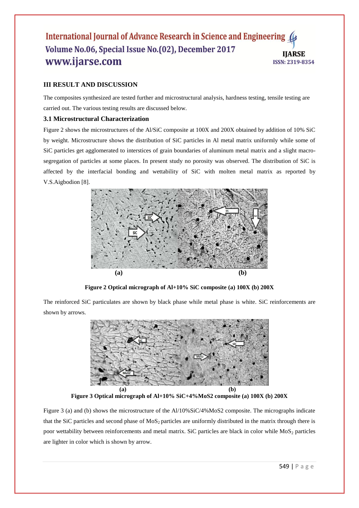# **III RESULT AND DISCUSSION**

The composites synthesized are tested further and microstructural analysis, hardness testing, tensile testing are carried out. The various testing results are discussed below.

# **3.1 Microstructural Characterization**

Figure 2 shows the microstructures of the Al/SiC composite at 100X and 200X obtained by addition of 10% SiC by weight. Microstructure shows the distribution of SiC particles in Al metal matrix uniformly while some of SiC particles get agglomerated to interstices of grain boundaries of aluminum metal matrix and a slight macrosegregation of particles at some places. In present study no porosity was observed. The distribution of SiC is affected by the interfacial bonding and wettability of SiC with molten metal matrix as reported by V.S.Aigbodion [8].



**Figure 2 Optical micrograph of Al+10% SiC composite (a) 100X (b) 200X**

The reinforced SiC particulates are shown by black phase while metal phase is white. SiC reinforcements are shown by arrows.



**Figure 3 Optical micrograph of Al+10% SiC+4%MoS2 composite (a) 100X (b) 200X**

Figure 3 (a) and (b) shows the microstructure of the Al/10%SiC/4%MoS2 composite. The micrographs indicate that the SiC particles and second phase of  $MoS<sub>2</sub>$  particles are uniformly distributed in the matrix through there is poor wettability between reinforcements and metal matrix. SiC particles are black in color while MoS<sub>2</sub> particles are lighter in color which is shown by arrow.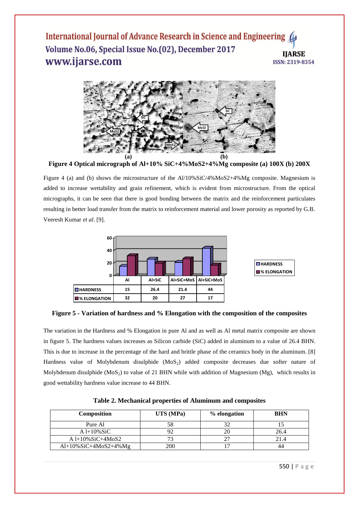

**Figure 4 Optical micrograph of Al+10% SiC+4%MoS2+4%Mg composite (a) 100X (b) 200X**

Figure 4 (a) and (b) shows the microstructure of the Al/10%SiC/4%MoS2+4%Mg composite. Magnesium is added to increase wettability and grain refinement, which is evident from microstructure. From the optical micrographs, it can be seen that there is good bonding between the matrix and the reinforcement particulates resulting in better load transfer from the matrix to reinforcement material and lower porosity as reported by G.B. Veeresh Kumar *et al*. [9].



**Figure 5 - Variation of hardness and % Elongation with the composition of the composites**

The variation in the Hardness and % Elongation in pure Al and as well as Al metal matrix composite are shown in figure 5. The hardness values increases as Silicon carbide (SiC) added in aluminum to a value of 26.4 BHN. This is due to increase in the percentage of the hard and brittle phase of the ceramics body in the aluminum. [8] Hardness value of Molybdenum disulphide  $(MoS<sub>2</sub>)$  added composite decreases due softer nature of Molybdenum disulphide  $(MoS<sub>2</sub>)$  to value of 21 BHN while with addition of Magnesium (Mg), which results in good wettability hardness value increase to 44 BHN.

| Composition              | UTS (MPa) | % elongation | <b>BHN</b> |
|--------------------------|-----------|--------------|------------|
| Pure Al                  |           |              |            |
| $A 1+10\%$ SiC           |           |              | 26.4       |
| $A1+10\%SiC+4MoS2$       |           |              | 21.4       |
| $Al+10\%SiC+4MoS2+4\%Mg$ | 200       |              |            |
|                          |           |              |            |

**Table 2. Mechanical properties of Aluminum and composites**